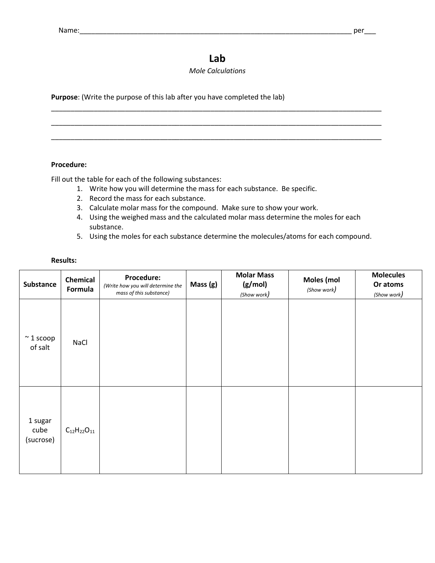# **Lab**

### *Mole Calculations*

\_\_\_\_\_\_\_\_\_\_\_\_\_\_\_\_\_\_\_\_\_\_\_\_\_\_\_\_\_\_\_\_\_\_\_\_\_\_\_\_\_\_\_\_\_\_\_\_\_\_\_\_\_\_\_\_\_\_\_\_\_\_\_\_\_\_\_\_\_\_\_\_\_\_\_\_\_\_\_\_\_\_\_\_\_

\_\_\_\_\_\_\_\_\_\_\_\_\_\_\_\_\_\_\_\_\_\_\_\_\_\_\_\_\_\_\_\_\_\_\_\_\_\_\_\_\_\_\_\_\_\_\_\_\_\_\_\_\_\_\_\_\_\_\_\_\_\_\_\_\_\_\_\_\_\_\_\_\_\_\_\_\_\_\_\_\_\_\_\_\_

\_\_\_\_\_\_\_\_\_\_\_\_\_\_\_\_\_\_\_\_\_\_\_\_\_\_\_\_\_\_\_\_\_\_\_\_\_\_\_\_\_\_\_\_\_\_\_\_\_\_\_\_\_\_\_\_\_\_\_\_\_\_\_\_\_\_\_\_\_\_\_\_\_\_\_\_\_\_\_\_\_\_\_\_\_

**Purpose**: (Write the purpose of this lab after you have completed the lab)

#### **Procedure:**

Fill out the table for each of the following substances:

- 1. Write how you will determine the mass for each substance. Be specific.
- 2. Record the mass for each substance.
- 3. Calculate molar mass for the compound. Make sure to show your work.
- 4. Using the weighed mass and the calculated molar mass determine the moles for each substance.
- 5. Using the moles for each substance determine the molecules/atoms for each compound.

#### **Results:**

| Substance                    | Chemical<br>Formula  | Procedure:<br>(Write how you will determine the<br>mass of this substance) | Mass (g) | <b>Molar Mass</b><br>(g/mol)<br>(Show work) | Moles (mol<br>(Show work) | <b>Molecules</b><br>Or atoms<br>(Show work) |
|------------------------------|----------------------|----------------------------------------------------------------------------|----------|---------------------------------------------|---------------------------|---------------------------------------------|
| $~\sim$ 1 scoop<br>of salt   | NaCl                 |                                                                            |          |                                             |                           |                                             |
| 1 sugar<br>cube<br>(sucrose) | $C_{12}H_{22}O_{11}$ |                                                                            |          |                                             |                           |                                             |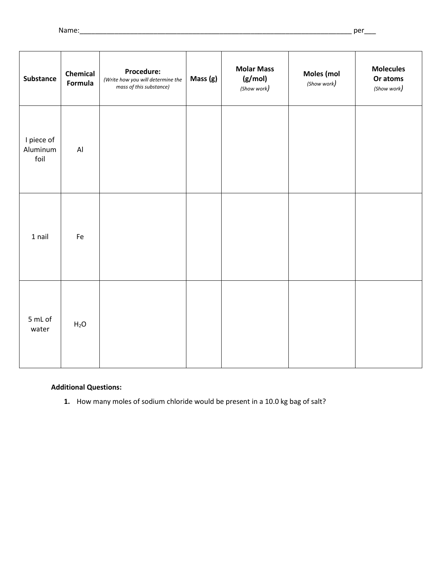| <b>Substance</b>               | Chemical<br>Formula | Procedure:<br>(Write how you will determine the<br>mass of this substance) | Mass (g) | <b>Molar Mass</b><br>(g/mol)<br>(Show work) | Moles (mol<br>(Show work) | <b>Molecules</b><br>Or atoms<br>(Show work) |
|--------------------------------|---------------------|----------------------------------------------------------------------------|----------|---------------------------------------------|---------------------------|---------------------------------------------|
| I piece of<br>Aluminum<br>foil | AI                  |                                                                            |          |                                             |                           |                                             |
| 1 nail                         | Fe                  |                                                                            |          |                                             |                           |                                             |
| 5 mL of<br>water               | $H_2O$              |                                                                            |          |                                             |                           |                                             |

## **Additional Questions:**

**1.** How many moles of sodium chloride would be present in a 10.0 kg bag of salt?